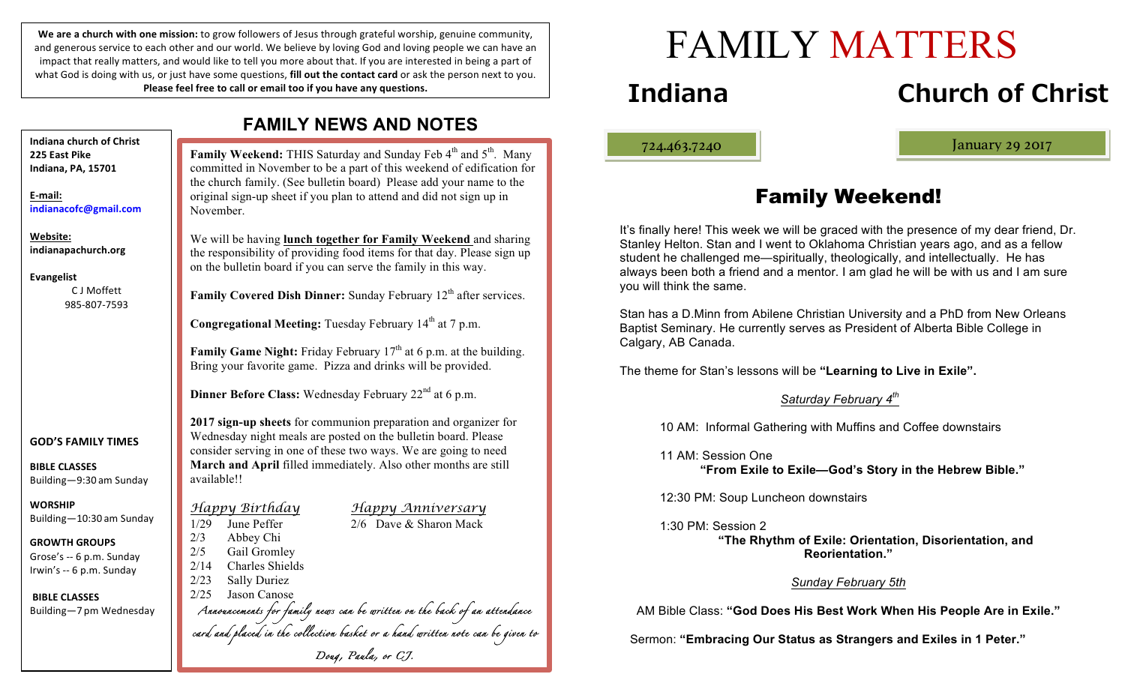We are a church with one mission: to grow followers of Jesus through grateful worship, genuine community, and generous service to each other and our world. We believe by loving God and loving people we can have an impact that really matters, and would like to tell you more about that. If you are interested in being a part of what God is doing with us, or just have some questions, **fill out the contact card** or ask the person next to you. **Please feel free to call or email too if you have any questions.** 

November. available!! *Happy Birthday Happy Anniversary*  1/29 June Peffer 2/6 Dave & Sharon Mack 2/3 Abbey Chi 2/5 Gail Gromley 2/14 Charles Shields 2/23 Sally Duriez 2/25 Jason Canose *Announcements for family news can be written on the back of an attendance card and placed in the collection basket or a hand written note can be given to Doug, Paula, or CJ.* **Indiana church of Christ 225 East Pike Indiana, PA, 15701 E-mail: indianacofc@gmail.com Website: indianapachurch.org Evangelist** C J Moffett 985-807-7593 **GOD'S FAMILY TIMES BIBLE CLASSES** Building—9:30 am Sunday **WORSHIP** Building—10:30 am Sunday **GROWTH GROUPS** Grose's -- 6 p.m. Sunday Irwin's -- 6 p.m. Sunday **BIBLE CLASSES** Building—7 pm Wednesday

# **FAMILY NEWS AND NOTES**

**Family Weekend:** THIS Saturday and Sunday Feb 4<sup>th</sup> and 5<sup>th</sup>. Many committed in November to be a part of this weekend of edification for the church family. (See bulletin board) Please add your name to the original sign-up sheet if you plan to attend and did not sign up in

We will be having **lunch together for Family Weekend** and sharing the responsibility of providing food items for that day. Please sign up on the bulletin board if you can serve the family in this way.

**Family Covered Dish Dinner:** Sunday February 12<sup>th</sup> after services.

**Congregational Meeting:** Tuesday February 14<sup>th</sup> at 7 p.m.

**Family Game Night:** Friday February 17<sup>th</sup> at 6 p.m. at the building. Bring your favorite game. Pizza and drinks will be provided.

**Dinner Before Class:** Wednesday February 22<sup>nd</sup> at 6 p.m.

**2017 sign-up sheets** for communion preparation and organizer for Wednesday night meals are posted on the bulletin board. Please consider serving in one of these two ways. We are going to need **March and April** filled immediately. Also other months are still

# **Indiana Church of Christ**

ļ

724.463.7240 January 29 2017

# Family Weekend!

FAMILY MATTERS

It's finally here! This week we will be graced with the presence of my dear friend, Dr. Stanley Helton. Stan and I went to Oklahoma Christian years ago, and as a fellow student he challenged me—spiritually, theologically, and intellectually. He has always been both a friend and a mentor. I am glad he will be with us and I am sure you will think the same.

Stan has a D.Minn from Abilene Christian University and a PhD from New Orleans Baptist Seminary. He currently serves as President of Alberta Bible College in Calgary, AB Canada.

The theme for Stan's lessons will be **"Learning to Live in Exile".**

#### *Saturday February 4th*

10 AM: Informal Gathering with Muffins and Coffee downstairs

11 AM: Session One

**"From Exile to Exile—God's Story in the Hebrew Bible."**

12:30 PM: Soup Luncheon downstairs

#### 1:30 PM: Session 2

 **"The Rhythm of Exile: Orientation, Disorientation, and Reorientation."**

#### *Sunday February 5th*

AM Bible Class: **"God Does His Best Work When His People Are in Exile."**

Sermon: **"Embracing Our Status as Strangers and Exiles in 1 Peter."**